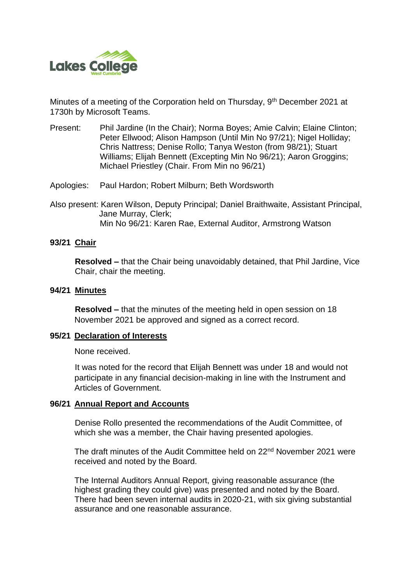

Minutes of a meeting of the Corporation held on Thursday, 9<sup>th</sup> December 2021 at 1730h by Microsoft Teams.

- Present: Phil Jardine (In the Chair); Norma Boyes; Amie Calvin; Elaine Clinton; Peter Ellwood; Alison Hampson (Until Min No 97/21); Nigel Holliday; Chris Nattress; Denise Rollo; Tanya Weston (from 98/21); Stuart Williams; Elijah Bennett (Excepting Min No 96/21); Aaron Groggins; Michael Priestley (Chair. From Min no 96/21)
- Apologies: Paul Hardon; Robert Milburn; Beth Wordsworth
- Also present: Karen Wilson, Deputy Principal; Daniel Braithwaite, Assistant Principal, Jane Murray, Clerk; Min No 96/21: Karen Rae, External Auditor, Armstrong Watson

### **93/21 Chair**

**Resolved –** that the Chair being unavoidably detained, that Phil Jardine, Vice Chair, chair the meeting.

### **94/21 Minutes**

**Resolved –** that the minutes of the meeting held in open session on 18 November 2021 be approved and signed as a correct record.

### **95/21 Declaration of Interests**

None received.

It was noted for the record that Elijah Bennett was under 18 and would not participate in any financial decision-making in line with the Instrument and Articles of Government.

### **96/21 Annual Report and Accounts**

Denise Rollo presented the recommendations of the Audit Committee, of which she was a member, the Chair having presented apologies.

The draft minutes of the Audit Committee held on 22<sup>nd</sup> November 2021 were received and noted by the Board.

The Internal Auditors Annual Report, giving reasonable assurance (the highest grading they could give) was presented and noted by the Board. There had been seven internal audits in 2020-21, with six giving substantial assurance and one reasonable assurance.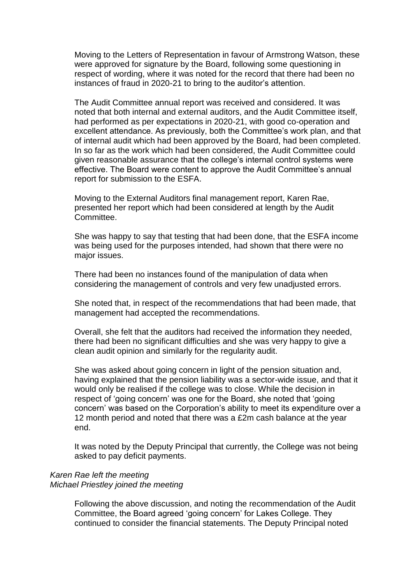Moving to the Letters of Representation in favour of Armstrong Watson, these were approved for signature by the Board, following some questioning in respect of wording, where it was noted for the record that there had been no instances of fraud in 2020-21 to bring to the auditor's attention.

The Audit Committee annual report was received and considered. It was noted that both internal and external auditors, and the Audit Committee itself, had performed as per expectations in 2020-21, with good co-operation and excellent attendance. As previously, both the Committee's work plan, and that of internal audit which had been approved by the Board, had been completed. In so far as the work which had been considered, the Audit Committee could given reasonable assurance that the college's internal control systems were effective. The Board were content to approve the Audit Committee's annual report for submission to the ESFA.

Moving to the External Auditors final management report, Karen Rae, presented her report which had been considered at length by the Audit Committee.

She was happy to say that testing that had been done, that the ESFA income was being used for the purposes intended, had shown that there were no major issues.

There had been no instances found of the manipulation of data when considering the management of controls and very few unadjusted errors.

She noted that, in respect of the recommendations that had been made, that management had accepted the recommendations.

Overall, she felt that the auditors had received the information they needed, there had been no significant difficulties and she was very happy to give a clean audit opinion and similarly for the regularity audit.

She was asked about going concern in light of the pension situation and, having explained that the pension liability was a sector-wide issue, and that it would only be realised if the college was to close. While the decision in respect of 'going concern' was one for the Board, she noted that 'going concern' was based on the Corporation's ability to meet its expenditure over a 12 month period and noted that there was a £2m cash balance at the year end.

It was noted by the Deputy Principal that currently, the College was not being asked to pay deficit payments.

#### *Karen Rae left the meeting Michael Priestley joined the meeting*

Following the above discussion, and noting the recommendation of the Audit Committee, the Board agreed 'going concern' for Lakes College. They continued to consider the financial statements. The Deputy Principal noted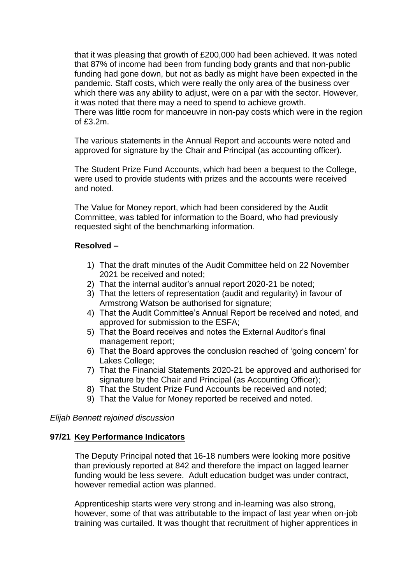that it was pleasing that growth of £200,000 had been achieved. It was noted that 87% of income had been from funding body grants and that non-public funding had gone down, but not as badly as might have been expected in the pandemic. Staff costs, which were really the only area of the business over which there was any ability to adjust, were on a par with the sector. However, it was noted that there may a need to spend to achieve growth. There was little room for manoeuvre in non-pay costs which were in the region of  $f3.2m$ .

The various statements in the Annual Report and accounts were noted and approved for signature by the Chair and Principal (as accounting officer).

The Student Prize Fund Accounts, which had been a bequest to the College, were used to provide students with prizes and the accounts were received and noted.

The Value for Money report, which had been considered by the Audit Committee, was tabled for information to the Board, who had previously requested sight of the benchmarking information.

## **Resolved –**

- 1) That the draft minutes of the Audit Committee held on 22 November 2021 be received and noted;
- 2) That the internal auditor's annual report 2020-21 be noted;
- 3) That the letters of representation (audit and regularity) in favour of Armstrong Watson be authorised for signature;
- 4) That the Audit Committee's Annual Report be received and noted, and approved for submission to the ESFA;
- 5) That the Board receives and notes the External Auditor's final management report;
- 6) That the Board approves the conclusion reached of 'going concern' for Lakes College;
- 7) That the Financial Statements 2020-21 be approved and authorised for signature by the Chair and Principal (as Accounting Officer);
- 8) That the Student Prize Fund Accounts be received and noted;
- 9) That the Value for Money reported be received and noted.

*Elijah Bennett rejoined discussion*

### **97/21 Key Performance Indicators**

The Deputy Principal noted that 16-18 numbers were looking more positive than previously reported at 842 and therefore the impact on lagged learner funding would be less severe. Adult education budget was under contract, however remedial action was planned.

Apprenticeship starts were very strong and in-learning was also strong, however, some of that was attributable to the impact of last year when on-job training was curtailed. It was thought that recruitment of higher apprentices in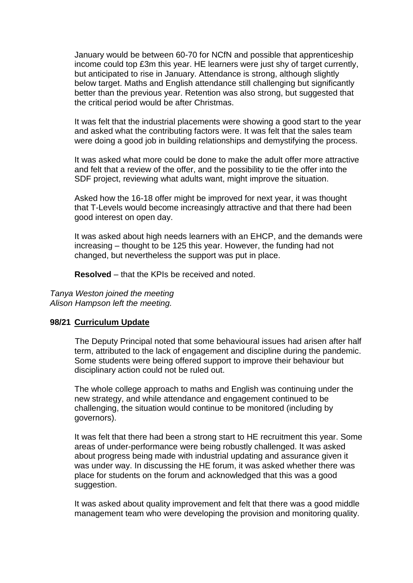January would be between 60-70 for NCfN and possible that apprenticeship income could top £3m this year. HE learners were just shy of target currently, but anticipated to rise in January. Attendance is strong, although slightly below target. Maths and English attendance still challenging but significantly better than the previous year. Retention was also strong, but suggested that the critical period would be after Christmas.

It was felt that the industrial placements were showing a good start to the year and asked what the contributing factors were. It was felt that the sales team were doing a good job in building relationships and demystifying the process.

It was asked what more could be done to make the adult offer more attractive and felt that a review of the offer, and the possibility to tie the offer into the SDF project, reviewing what adults want, might improve the situation.

Asked how the 16-18 offer might be improved for next year, it was thought that T-Levels would become increasingly attractive and that there had been good interest on open day.

It was asked about high needs learners with an EHCP, and the demands were increasing – thought to be 125 this year. However, the funding had not changed, but nevertheless the support was put in place.

**Resolved** – that the KPIs be received and noted.

*Tanya Weston joined the meeting Alison Hampson left the meeting.* 

### **98/21 Curriculum Update**

The Deputy Principal noted that some behavioural issues had arisen after half term, attributed to the lack of engagement and discipline during the pandemic. Some students were being offered support to improve their behaviour but disciplinary action could not be ruled out.

The whole college approach to maths and English was continuing under the new strategy, and while attendance and engagement continued to be challenging, the situation would continue to be monitored (including by governors).

It was felt that there had been a strong start to HE recruitment this year. Some areas of under-performance were being robustly challenged. It was asked about progress being made with industrial updating and assurance given it was under way. In discussing the HE forum, it was asked whether there was place for students on the forum and acknowledged that this was a good suggestion.

It was asked about quality improvement and felt that there was a good middle management team who were developing the provision and monitoring quality.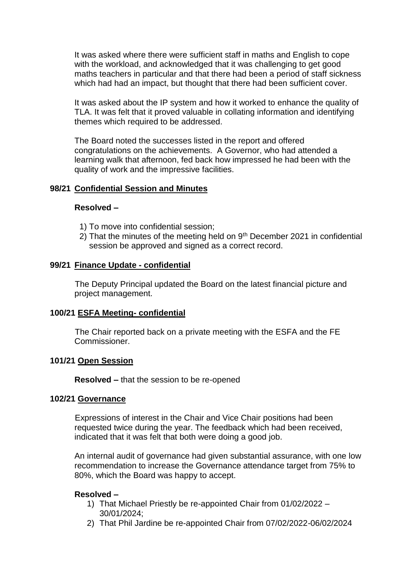It was asked where there were sufficient staff in maths and English to cope with the workload, and acknowledged that it was challenging to get good maths teachers in particular and that there had been a period of staff sickness which had had an impact, but thought that there had been sufficient cover.

It was asked about the IP system and how it worked to enhance the quality of TLA. It was felt that it proved valuable in collating information and identifying themes which required to be addressed.

The Board noted the successes listed in the report and offered congratulations on the achievements. A Governor, who had attended a learning walk that afternoon, fed back how impressed he had been with the quality of work and the impressive facilities.

## **98/21 Confidential Session and Minutes**

### **Resolved –**

- 1) To move into confidential session;
- 2) That the minutes of the meeting held on  $9<sup>th</sup>$  December 2021 in confidential session be approved and signed as a correct record.

## **99/21 Finance Update - confidential**

The Deputy Principal updated the Board on the latest financial picture and project management.

### **100/21 ESFA Meeting- confidential**

The Chair reported back on a private meeting with the ESFA and the FE Commissioner.

### **101/21 Open Session**

**Resolved –** that the session to be re-opened

### **102/21 Governance**

Expressions of interest in the Chair and Vice Chair positions had been requested twice during the year. The feedback which had been received, indicated that it was felt that both were doing a good job.

An internal audit of governance had given substantial assurance, with one low recommendation to increase the Governance attendance target from 75% to 80%, which the Board was happy to accept.

# **Resolved –**

- 1) That Michael Priestly be re-appointed Chair from 01/02/2022 30/01/2024;
- 2) That Phil Jardine be re-appointed Chair from 07/02/2022-06/02/2024